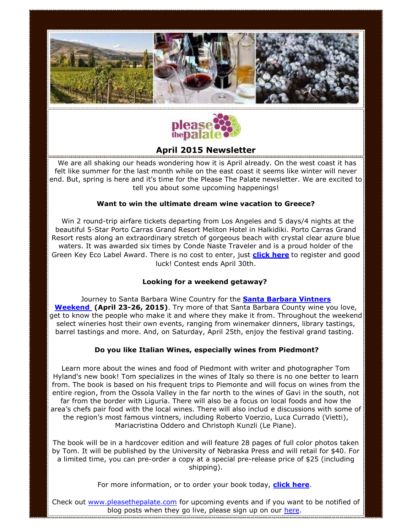



# **April 2015 Newsletter**

We are all shaking our heads wondering how it is April already. On the west coast it has felt like summer for the last month while on the east coast it seems like winter will never end. But, spring is here and it's time for the Please The Palate newsletter. We are excited to tell you about some upcoming happenings!

### **Want to win the ultimate dream wine vacation to Greece?**

Win 2 round-trip airfare tickets departing from Los Angeles and 5 days/4 nights at the beautiful 5-Star Porto Carras Grand Resort Meliton Hotel in Halkidiki. Porto Carras Grand Resort rests along an extraordinary stretch of gorgeous beach with crystal clear azure blue waters. It was awarded six times by Conde Naste Traveler and is a proud holder of the Green Key Eco Label Award. There is no cost to enter, just **[click here](http://www.swiftpage4.com/SpeClicks.aspx?X=2W14NDK5MC4HFQ9K00Y9WW)** to register and good luck! Contest ends April 30th.

#### **Looking for a weekend getaway?**

Journey to Santa Barbara Wine Country for the **[Santa Barbara Vintners](http://www.swiftpage4.com/SpeClicks.aspx?X=2W14NDK5MC4HFQ9K01Y9WW)  [Weekend](http://www.swiftpage4.com/SpeClicks.aspx?X=2W14NDK5MC4HFQ9K01Y9WW) (April 23-26, 2015)**. Try more of that Santa Barbara County wine you love, get to know the people who make it and where they make it from. Throughout the weekend select wineries host their own events, ranging from winemaker dinners, library tastings, barrel tastings and more. And, on Saturday, April 25th, enjoy the festival grand tasting.

#### **Do you like Italian Wines, especially wines from Piedmont?**

Learn more about the wines and food of Piedmont with writer and photographer Tom Hyland's new book! Tom specializes in the wines of Italy so there is no one better to learn from. The book is based on his frequent trips to Piemonte and will focus on wines from the entire region, from the Ossola Valley in the far north to the wines of Gavi in the south, not far from the border with Liguria. There will also be a focus on local foods and how the area's chefs pair food with the local wines. There will also includ e discussions with some of the region's most famous vintners, including Roberto Voerzio, Luca Currado (Vietti), Mariacristina Oddero and Christoph Kunzli (Le Piane).

The book will be in a hardcover edition and will feature 28 pages of full color photos taken by Tom. It will be published by the University of Nebraska Press and will retail for \$40. For a limited time, you can pre-order a copy at a special pre-release price of \$25 (including shipping).

For more information, or to order your book today, **[click here](http://www.swiftpage4.com/SpeClicks.aspx?X=2W14NDK5MC4HFQ9K02Y9WW)**.

Check out [www.pleasethepalate.com](http://www.pleasethepalate.com/) for upcoming events and if you want to be notified of blog posts when they go live, please sign up on our [here.](http://www.swiftpage4.com/SpeClicks.aspx?X=2W14NDK5MC4HFQ9K04Y9WW)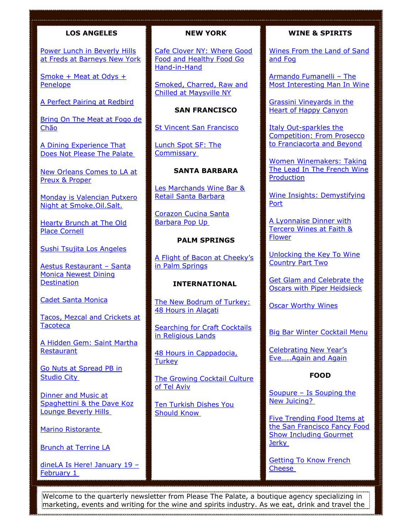# **LOS ANGELES**

[Power Lunch in Beverly Hills](http://www.swiftpage4.com/SpeClicks.aspx?X=2W14NDK5MC4HFQ9K05Y9WW)  [at Freds at Barneys New York](http://www.swiftpage4.com/SpeClicks.aspx?X=2W14NDK5MC4HFQ9K05Y9WW) 

[Smoke + Meat at Odys +](http://www.swiftpage4.com/SpeClicks.aspx?X=2W14NDK5MC4HFQ9K06Y9WW)  [Penelope](http://www.swiftpage4.com/SpeClicks.aspx?X=2W14NDK5MC4HFQ9K06Y9WW)

[A Perfect Pairing at Redbird](http://www.swiftpage4.com/SpeClicks.aspx?X=2W14NDK5MC4HFQ9K07Y9WW) 

[Bring On The Meat at Fogo de](http://www.swiftpage4.com/SpeClicks.aspx?X=2W14NDK5MC4HFQ9K08Y9WW)  [Chão](http://www.swiftpage4.com/SpeClicks.aspx?X=2W14NDK5MC4HFQ9K08Y9WW) 

[A Dining Experience That](http://www.swiftpage4.com/SpeClicks.aspx?X=2W14NDK5MC4HFQ9K09Y9WW)  [Does Not Please The Palate](http://www.swiftpage4.com/SpeClicks.aspx?X=2W14NDK5MC4HFQ9K09Y9WW)

[New Orleans Comes to LA at](http://www.swiftpage4.com/SpeClicks.aspx?X=2W14NDK5MC4HFQ9K0AY9WW)  [Preux & Proper](http://www.swiftpage4.com/SpeClicks.aspx?X=2W14NDK5MC4HFQ9K0AY9WW) 

[Monday is Valencian Putxero](http://www.swiftpage4.com/SpeClicks.aspx?X=2W14NDK5MC4HFQ9K0BY9WW)  [Night at Smoke.Oil.Salt.](http://www.swiftpage4.com/SpeClicks.aspx?X=2W14NDK5MC4HFQ9K0BY9WW) 

[Hearty Brunch at The Old](http://www.swiftpage4.com/SpeClicks.aspx?X=2W14NDK5MC4HFQ9K0CY9WW)  [Place Cornell](http://www.swiftpage4.com/SpeClicks.aspx?X=2W14NDK5MC4HFQ9K0CY9WW) 

[Sushi Tsujita Los Angeles](http://www.swiftpage4.com/SpeClicks.aspx?X=2W14NDK5MC4HFQ9K0DY9WW) 

[Aestus Restaurant](http://www.swiftpage4.com/SpeClicks.aspx?X=2W14NDK5MC4HFQ9K0EY9WW) – Santa [Monica Newest Dining](http://www.swiftpage4.com/SpeClicks.aspx?X=2W14NDK5MC4HFQ9K0EY9WW)  **Destination** 

[Cadet Santa Monica](http://www.swiftpage4.com/SpeClicks.aspx?X=2W14NDK5MC4HFQ9K0FY9WW) 

[Tacos, Mezcal and Crickets at](http://www.swiftpage4.com/SpeClicks.aspx?X=2W14NDK5MC4HFQ9K0GY9WW)  **Tacoteca** 

[A Hidden Gem: Saint Martha](http://www.swiftpage4.com/SpeClicks.aspx?X=2W14NDK5MC4HFQ9K0HY9WW)  **Restaurant** 

[Go Nuts at Spread PB in](http://www.swiftpage4.com/SpeClicks.aspx?X=2W14NDK5MC4HFQ9K0IY9WW)  [Studio City](http://www.swiftpage4.com/SpeClicks.aspx?X=2W14NDK5MC4HFQ9K0IY9WW)

[Dinner and Music at](http://www.swiftpage4.com/SpeClicks.aspx?X=2W14NDK5MC4HFQ9K0JY9WW)  [Spaghettini & the Dave Koz](http://www.swiftpage4.com/SpeClicks.aspx?X=2W14NDK5MC4HFQ9K0JY9WW)  [Lounge Beverly Hills](http://www.swiftpage4.com/SpeClicks.aspx?X=2W14NDK5MC4HFQ9K0JY9WW)

[Marino Ristorante](http://www.swiftpage4.com/SpeClicks.aspx?X=2W14NDK5MC4HFQ9K0KY9WW)

[Brunch at Terrine LA](http://www.swiftpage4.com/SpeClicks.aspx?X=2W14NDK5MC4HFQ9K0LY9WW)

[dineLA Is Here! January 19](http://www.swiftpage4.com/SpeClicks.aspx?X=2W14NDK5MC4HFQ9K0MY9WW) -[February 1](http://www.swiftpage4.com/SpeClicks.aspx?X=2W14NDK5MC4HFQ9K0MY9WW)

### **NEW YORK**

[Cafe Clover NY: Where Good](http://www.swiftpage4.com/SpeClicks.aspx?X=2W14NDK5MC4HFQ9K0NY9WW)  [Food and Healthy Food Go](http://www.swiftpage4.com/SpeClicks.aspx?X=2W14NDK5MC4HFQ9K0NY9WW)  [Hand-in-Hand](http://www.swiftpage4.com/SpeClicks.aspx?X=2W14NDK5MC4HFQ9K0NY9WW) 

[Smoked, Charred, Raw and](http://www.swiftpage4.com/SpeClicks.aspx?X=2W14NDK5MC4HFQ9K0PY9WW) [Chilled at Maysville NY](http://www.swiftpage4.com/SpeClicks.aspx?X=2W14NDK5MC4HFQ9K0PY9WW) 

**SAN FRANCISCO**

[St Vincent San Francisco](http://www.swiftpage4.com/SpeClicks.aspx?X=2W14NDK5MC4HFQ9K0QY9WW) 

[Lunch Spot SF: The](http://www.swiftpage4.com/SpeClicks.aspx?X=2W14NDK5MC4HFQ9K0RY9WW)  **[Commissary](http://www.swiftpage4.com/SpeClicks.aspx?X=2W14NDK5MC4HFQ9K0RY9WW)** 

## **SANTA BARBARA**

[Les Marchands Wine Bar &](http://www.swiftpage4.com/SpeClicks.aspx?X=2W14NDK5MC4HFQ9K0SY9WW)  [Retail Santa Barbara](http://www.swiftpage4.com/SpeClicks.aspx?X=2W14NDK5MC4HFQ9K0SY9WW) 

[Corazon Cucina Santa](http://www.swiftpage4.com/SpeClicks.aspx?X=2W14NDK5MC4HFQ9K0TY9WW)  [Barbara Pop Up](http://www.swiftpage4.com/SpeClicks.aspx?X=2W14NDK5MC4HFQ9K0TY9WW)

#### **PALM SPRINGS**

A Flight of Bacon at Cheeky's [in Palm Springs](http://www.swiftpage4.com/SpeClicks.aspx?X=2W14NDK5MC4HFQ9K0UY9WW) 

#### **INTERNATIONAL**

[The New Bodrum of Turkey:](http://www.swiftpage4.com/SpeClicks.aspx?X=2W14NDK5MC4HFQ9K0VY9WW)  [48 Hours in Alaçati](http://www.swiftpage4.com/SpeClicks.aspx?X=2W14NDK5MC4HFQ9K0VY9WW) 

[Searching for Craft Cocktails](http://www.swiftpage4.com/SpeClicks.aspx?X=2W14NDK5MC4HFQ9K0WY9WW)  [in Religious Lands](http://www.swiftpage4.com/SpeClicks.aspx?X=2W14NDK5MC4HFQ9K0WY9WW) 

[48 Hours in Cappadocia,](http://www.swiftpage4.com/SpeClicks.aspx?X=2W14NDK5MC4HFQ9K0XY9WW)  **Turkey** 

[The Growing Cocktail Culture](http://www.swiftpage4.com/SpeClicks.aspx?X=2W14NDK5MC4HFQ9K0YY9WW)  [of Tel Aviv](http://www.swiftpage4.com/SpeClicks.aspx?X=2W14NDK5MC4HFQ9K0YY9WW)

[Ten Turkish Dishes You](http://www.swiftpage4.com/SpeClicks.aspx?X=2W14NDK5MC4HFQ9K0ZY9WW)  [Should Know](http://www.swiftpage4.com/SpeClicks.aspx?X=2W14NDK5MC4HFQ9K0ZY9WW)

### **WINE & SPIRITS**

[Wines From the Land of Sand](http://www.swiftpage4.com/SpeClicks.aspx?X=2W14NDK5MC4HFQ9K10Y9WW)  [and Fog](http://www.swiftpage4.com/SpeClicks.aspx?X=2W14NDK5MC4HFQ9K10Y9WW) 

[Armando Fumanelli](http://www.swiftpage4.com/SpeClicks.aspx?X=2W14NDK5MC4HFQ9K11Y9WW) – The [Most Interesting Man In Wine](http://www.swiftpage4.com/SpeClicks.aspx?X=2W14NDK5MC4HFQ9K11Y9WW) 

[Grassini Vineyards in the](http://www.swiftpage4.com/SpeClicks.aspx?X=2W14NDK5MC4HFQ9K12Y9WW)  [Heart of Happy Canyon](http://www.swiftpage4.com/SpeClicks.aspx?X=2W14NDK5MC4HFQ9K12Y9WW) 

[Italy Out-sparkles the](http://www.swiftpage4.com/SpeClicks.aspx?X=2W14NDK5MC4HFQ9K13Y9WW)  [Competition: From Prosecco](http://www.swiftpage4.com/SpeClicks.aspx?X=2W14NDK5MC4HFQ9K13Y9WW)  [to Franciacorta and Beyond](http://www.swiftpage4.com/SpeClicks.aspx?X=2W14NDK5MC4HFQ9K13Y9WW) 

[Women Winemakers: Taking](http://www.swiftpage4.com/SpeClicks.aspx?X=2W14NDK5MC4HFQ9K14Y9WW)  [The Lead In The French Wine](http://www.swiftpage4.com/SpeClicks.aspx?X=2W14NDK5MC4HFQ9K14Y9WW)  **Production** 

[Wine Insights: Demystifying](http://www.swiftpage4.com/SpeClicks.aspx?X=2W14NDK5MC4HFQ9K15Y9WW)  [Port](http://www.swiftpage4.com/SpeClicks.aspx?X=2W14NDK5MC4HFQ9K15Y9WW) 

[A Lyonnaise Dinner with](http://www.swiftpage4.com/SpeClicks.aspx?X=2W14NDK5MC4HFQ9K16Y9WW)  [Tercero Wines at Faith &](http://www.swiftpage4.com/SpeClicks.aspx?X=2W14NDK5MC4HFQ9K16Y9WW)  [Flower](http://www.swiftpage4.com/SpeClicks.aspx?X=2W14NDK5MC4HFQ9K16Y9WW) 

[Unlocking the Key To Wine](http://www.swiftpage4.com/SpeClicks.aspx?X=2W14NDK5MC4HFQ9K17Y9WW)  Country [Part Two](http://www.swiftpage4.com/SpeClicks.aspx?X=2W14NDK5MC4HFQ9K17Y9WW) 

[Get Glam and Celebrate the](http://www.swiftpage4.com/SpeClicks.aspx?X=2W14NDK5MC4HFQ9K18Y9WW)  [Oscars with Piper Heidsieck](http://www.swiftpage4.com/SpeClicks.aspx?X=2W14NDK5MC4HFQ9K18Y9WW)

[Oscar Worthy Wines](http://www.swiftpage4.com/SpeClicks.aspx?X=2W14NDK5MC4HFQ9K19Y9WW) 

[Big Bar Winter Cocktail Menu](http://www.swiftpage4.com/SpeClicks.aspx?X=2W14NDK5MC4HFQ9K1AY9WW) 

[Celebrating New Year's](http://www.swiftpage4.com/SpeClicks.aspx?X=2W14NDK5MC4HFQ9K1BY9WW)  [Eve…..Again and Again](http://www.swiftpage4.com/SpeClicks.aspx?X=2W14NDK5MC4HFQ9K1BY9WW) 

### **FOOD**

Soupure – [Is Souping the](http://www.swiftpage4.com/SpeClicks.aspx?X=2W14NDK5MC4HFQ9K1CY9WW)  [New Juicing?](http://www.swiftpage4.com/SpeClicks.aspx?X=2W14NDK5MC4HFQ9K1CY9WW)

[Five Trending Food Items at](http://www.swiftpage4.com/SpeClicks.aspx?X=2W14NDK5MC4HFQ9K1DY9WW)  [the San Francisco Fancy Food](http://www.swiftpage4.com/SpeClicks.aspx?X=2W14NDK5MC4HFQ9K1DY9WW)  [Show Including Gourmet](http://www.swiftpage4.com/SpeClicks.aspx?X=2W14NDK5MC4HFQ9K1DY9WW)  **[Jerky](http://www.swiftpage4.com/SpeClicks.aspx?X=2W14NDK5MC4HFQ9K1DY9WW)** 

[Getting To Know French](http://www.swiftpage4.com/SpeClicks.aspx?X=2W14NDK5MC4HFQ9K1EY9WW)  [Cheese](http://www.swiftpage4.com/SpeClicks.aspx?X=2W14NDK5MC4HFQ9K1EY9WW)

Welcome to the quarterly newsletter from Please The Palate, a boutique agency specializing in marketing, events and writing for the wine and spirits industry. As we eat, drink and travel the